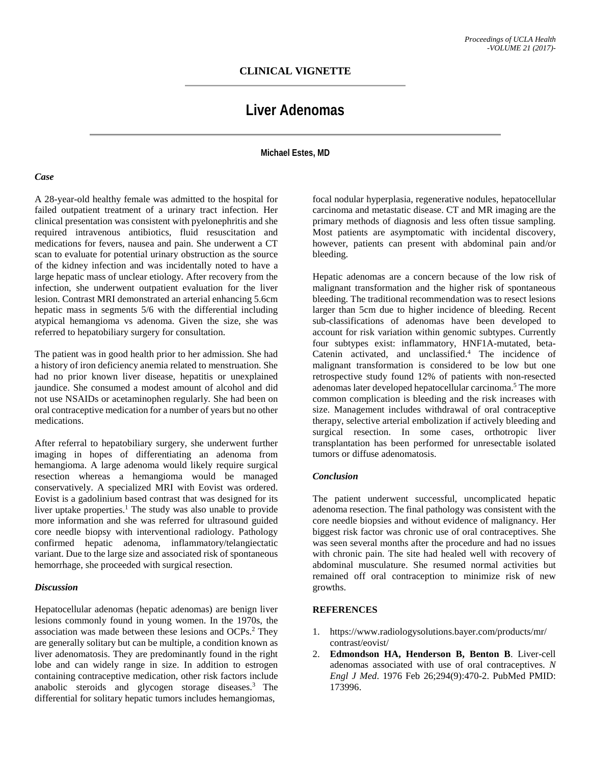# **Liver Adenomas**

## **Michael Estes, MD**

### *Case*

A 28-year-old healthy female was admitted to the hospital for failed outpatient treatment of a urinary tract infection. Her clinical presentation was consistent with pyelonephritis and she required intravenous antibiotics, fluid resuscitation and medications for fevers, nausea and pain. She underwent a CT scan to evaluate for potential urinary obstruction as the source of the kidney infection and was incidentally noted to have a large hepatic mass of unclear etiology. After recovery from the infection, she underwent outpatient evaluation for the liver lesion. Contrast MRI demonstrated an arterial enhancing 5.6cm hepatic mass in segments 5/6 with the differential including atypical hemangioma vs adenoma. Given the size, she was referred to hepatobiliary surgery for consultation.

The patient was in good health prior to her admission. She had a history of iron deficiency anemia related to menstruation. She had no prior known liver disease, hepatitis or unexplained jaundice. She consumed a modest amount of alcohol and did not use NSAIDs or acetaminophen regularly. She had been on oral contraceptive medication for a number of years but no other medications.

After referral to hepatobiliary surgery, she underwent further imaging in hopes of differentiating an adenoma from hemangioma. A large adenoma would likely require surgical resection whereas a hemangioma would be managed conservatively. A specialized MRI with Eovist was ordered. Eovist is a gadolinium based contrast that was designed for its liver uptake properties.<sup>1</sup> The study was also unable to provide more information and she was referred for ultrasound guided core needle biopsy with interventional radiology. Pathology confirmed hepatic adenoma, inflammatory/telangiectatic variant. Due to the large size and associated risk of spontaneous hemorrhage, she proceeded with surgical resection.

#### *Discussion*

Hepatocellular adenomas (hepatic adenomas) are benign liver lesions commonly found in young women. In the 1970s, the association was made between these lesions and OCPs.2 They are generally solitary but can be multiple, a condition known as liver adenomatosis. They are predominantly found in the right lobe and can widely range in size. In addition to estrogen containing contraceptive medication, other risk factors include anabolic steroids and glycogen storage diseases.3 The differential for solitary hepatic tumors includes hemangiomas,

focal nodular hyperplasia, regenerative nodules, hepatocellular carcinoma and metastatic disease. CT and MR imaging are the primary methods of diagnosis and less often tissue sampling. Most patients are asymptomatic with incidental discovery, however, patients can present with abdominal pain and/or bleeding.

Hepatic adenomas are a concern because of the low risk of malignant transformation and the higher risk of spontaneous bleeding. The traditional recommendation was to resect lesions larger than 5cm due to higher incidence of bleeding. Recent sub-classifications of adenomas have been developed to account for risk variation within genomic subtypes. Currently four subtypes exist: inflammatory, HNF1A-mutated, beta-Catenin activated, and unclassified.<sup>4</sup> The incidence of malignant transformation is considered to be low but one retrospective study found 12% of patients with non-resected adenomas later developed hepatocellular carcinoma.5 The more common complication is bleeding and the risk increases with size. Management includes withdrawal of oral contraceptive therapy, selective arterial embolization if actively bleeding and surgical resection. In some cases, orthotropic liver transplantation has been performed for unresectable isolated tumors or diffuse adenomatosis.

## *Conclusion*

The patient underwent successful, uncomplicated hepatic adenoma resection. The final pathology was consistent with the core needle biopsies and without evidence of malignancy. Her biggest risk factor was chronic use of oral contraceptives. She was seen several months after the procedure and had no issues with chronic pain. The site had healed well with recovery of abdominal musculature. She resumed normal activities but remained off oral contraception to minimize risk of new growths.

## **REFERENCES**

- 1. https://www.radiologysolutions.bayer.com/products/mr/ contrast/eovist/
- 2. **Edmondson HA, Henderson B, Benton B**. Liver-cell adenomas associated with use of oral contraceptives. *N Engl J Med*. 1976 Feb 26;294(9):470-2. PubMed PMID: 173996.